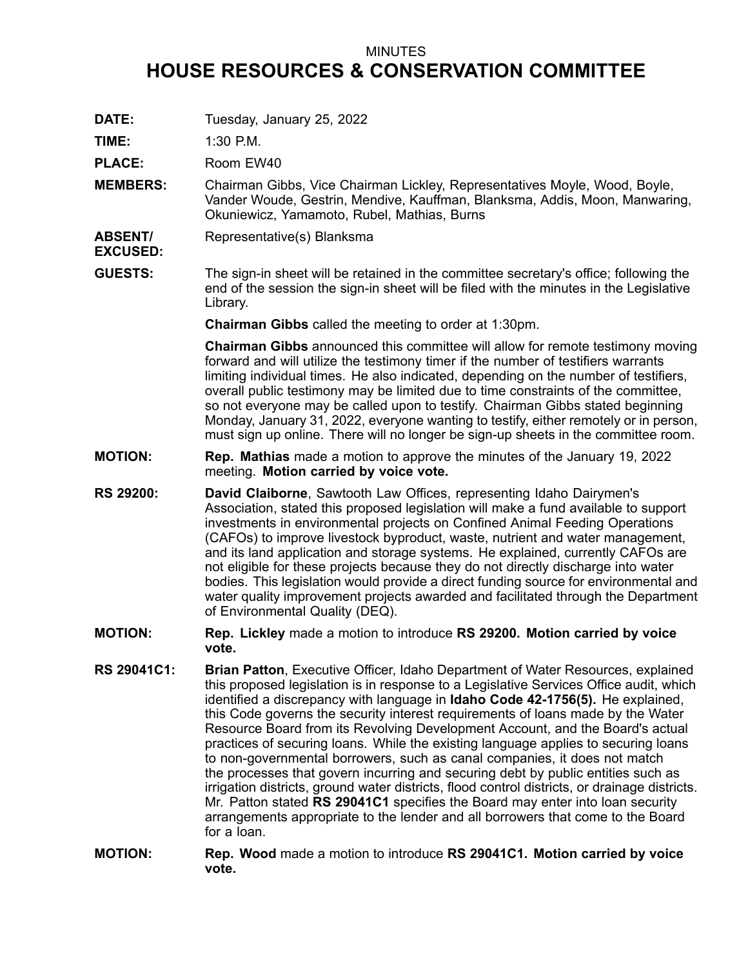## MINUTES **HOUSE RESOURCES & CONSERVATION COMMITTEE**

**DATE:** Tuesday, January 25, 2022

**TIME:** 1:30 P.M.

PLACE: Room EW40

- **MEMBERS:** Chairman Gibbs, Vice Chairman Lickley, Representatives Moyle, Wood, Boyle, Vander Woude, Gestrin, Mendive, Kauffman, Blanksma, Addis, Moon, Manwaring, Okuniewicz, Yamamoto, Rubel, Mathias, Burns
- **ABSENT/ EXCUSED:** Representative(s) Blanksma
- **GUESTS:** The sign-in sheet will be retained in the committee secretary's office; following the end of the session the sign-in sheet will be filed with the minutes in the Legislative Library.

**Chairman Gibbs** called the meeting to order at 1:30pm.

**Chairman Gibbs** announced this committee will allow for remote testimony moving forward and will utilize the testimony timer if the number of testifiers warrants limiting individual times. He also indicated, depending on the number of testifiers, overall public testimony may be limited due to time constraints of the committee, so not everyone may be called upon to testify. Chairman Gibbs stated beginning Monday, January 31, 2022, everyone wanting to testify, either remotely or in person, must sign up online. There will no longer be sign-up sheets in the committee room.

- **MOTION: Rep. Mathias** made <sup>a</sup> motion to approve the minutes of the January 19, 2022 meeting. **Motion carried by voice vote.**
- **RS 29200: David Claiborne**, Sawtooth Law Offices, representing Idaho Dairymen's Association, stated this proposed legislation will make <sup>a</sup> fund available to support investments in environmental projects on Confined Animal Feeding Operations (CAFOs) to improve livestock byproduct, waste, nutrient and water management, and its land application and storage systems. He explained, currently CAFOs are not eligible for these projects because they do not directly discharge into water bodies. This legislation would provide <sup>a</sup> direct funding source for environmental and water quality improvement projects awarded and facilitated through the Department of Environmental Quality (DEQ).
- **MOTION: Rep. Lickley** made <sup>a</sup> motion to introduce **RS 29200. Motion carried by voice vote.**
- **RS 29041C1: Brian Patton**, Executive Officer, Idaho Department of Water Resources, explained this proposed legislation is in response to <sup>a</sup> Legislative Services Office audit, which identified <sup>a</sup> discrepancy with language in **Idaho Code 42-1756(5).** He explained, this Code governs the security interest requirements of loans made by the Water Resource Board from its Revolving Development Account, and the Board's actual practices of securing loans. While the existing language applies to securing loans to non-governmental borrowers, such as canal companies, it does not match the processes that govern incurring and securing debt by public entities such as irrigation districts, ground water districts, flood control districts, or drainage districts. Mr. Patton stated **RS 29041C1** specifies the Board may enter into loan security arrangements appropriate to the lender and all borrowers that come to the Board for a loan.
- **MOTION: Rep. Wood** made <sup>a</sup> motion to introduce **RS 29041C1. Motion carried by voice vote.**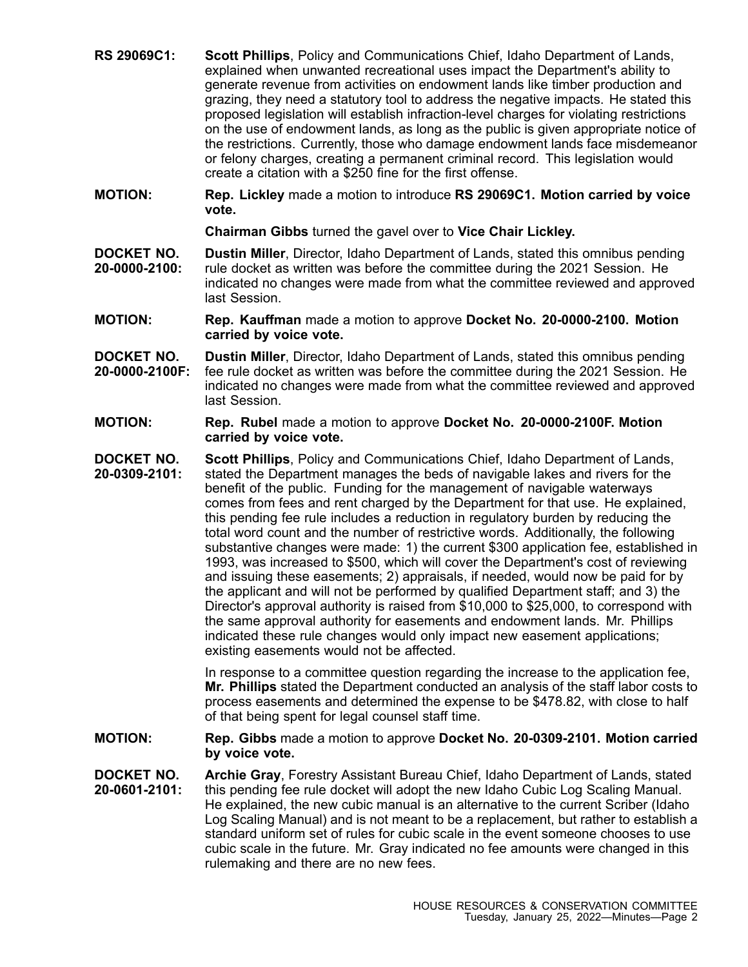- **RS 29069C1: Scott Phillips**, Policy and Communications Chief, Idaho Department of Lands, explained when unwanted recreational uses impact the Department's ability to generate revenue from activities on endowment lands like timber production and grazing, they need <sup>a</sup> statutory tool to address the negative impacts. He stated this proposed legislation will establish infraction-level charges for violating restrictions on the use of endowment lands, as long as the public is given appropriate notice of the restrictions. Currently, those who damage endowment lands face misdemeanor or felony charges, creating <sup>a</sup> permanent criminal record. This legislation would create <sup>a</sup> citation with <sup>a</sup> \$250 fine for the first offense.
- **MOTION: Rep. Lickley** made <sup>a</sup> motion to introduce **RS 29069C1. Motion carried by voice vote.**

**Chairman Gibbs** turned the gavel over to **Vice Chair Lickley.**

- **DOCKET NO. 20-0000-2100: Dustin Miller**, Director, Idaho Department of Lands, stated this omnibus pending rule docket as written was before the committee during the 2021 Session. He indicated no changes were made from what the committee reviewed and approved last Session.
- **MOTION: Rep. Kauffman** made <sup>a</sup> motion to approve **Docket No. 20-0000-2100. Motion carried by voice vote.**
- **DOCKET NO. 20-0000-2100F: Dustin Miller**, Director, Idaho Department of Lands, stated this omnibus pending fee rule docket as written was before the committee during the 2021 Session. He indicated no changes were made from what the committee reviewed and approved last Session.
- **MOTION: Rep. Rubel** made <sup>a</sup> motion to approve **Docket No. 20-0000-2100F. Motion carried by voice vote.**
- **DOCKET NO. 20-0309-2101: Scott Phillips**, Policy and Communications Chief, Idaho Department of Lands, stated the Department manages the beds of navigable lakes and rivers for the benefit of the public. Funding for the management of navigable waterways comes from fees and rent charged by the Department for that use. He explained, this pending fee rule includes <sup>a</sup> reduction in regulatory burden by reducing the total word count and the number of restrictive words. Additionally, the following substantive changes were made: 1) the current \$300 application fee, established in 1993, was increased to \$500, which will cover the Department's cost of reviewing and issuing these easements; 2) appraisals, if needed, would now be paid for by the applicant and will not be performed by qualified Department staff; and 3) the Director's approval authority is raised from \$10,000 to \$25,000, to correspond with the same approval authority for easements and endowment lands. Mr. Phillips indicated these rule changes would only impact new easement applications; existing easements would not be affected.

In response to <sup>a</sup> committee question regarding the increase to the application fee, **Mr. Phillips** stated the Department conducted an analysis of the staff labor costs to process easements and determined the expense to be \$478.82, with close to half of that being spent for legal counsel staff time.

**MOTION: Rep. Gibbs** made <sup>a</sup> motion to approve **Docket No. 20-0309-2101. Motion carried by voice vote.**

**DOCKET NO. 20-0601-2101: Archie Gray**, Forestry Assistant Bureau Chief, Idaho Department of Lands, stated this pending fee rule docket will adopt the new Idaho Cubic Log Scaling Manual. He explained, the new cubic manual is an alternative to the current Scriber (Idaho Log Scaling Manual) and is not meant to be <sup>a</sup> replacement, but rather to establish <sup>a</sup> standard uniform set of rules for cubic scale in the event someone chooses to use cubic scale in the future. Mr. Gray indicated no fee amounts were changed in this rulemaking and there are no new fees.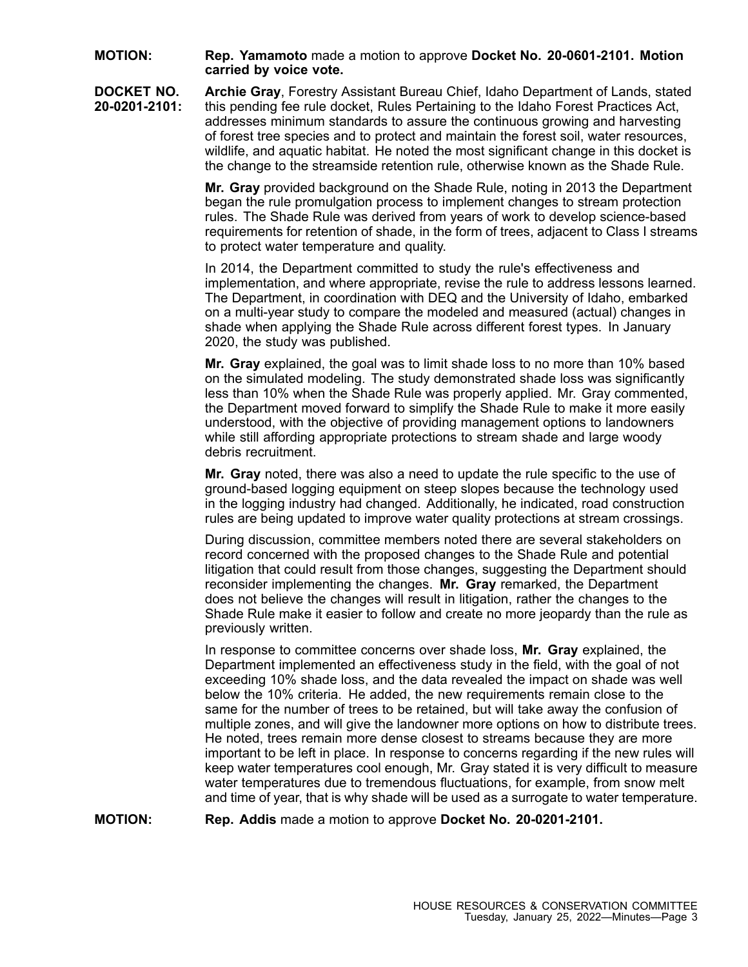## **MOTION: Rep. Yamamoto** made <sup>a</sup> motion to approve **Docket No. 20-0601-2101. Motion carried by voice vote.**

**DOCKET NO. 20-0201-2101: Archie Gray**, Forestry Assistant Bureau Chief, Idaho Department of Lands, stated this pending fee rule docket, Rules Pertaining to the Idaho Forest Practices Act, addresses minimum standards to assure the continuous growing and harvesting of forest tree species and to protect and maintain the forest soil, water resources, wildlife, and aquatic habitat. He noted the most significant change in this docket is the change to the streamside retention rule, otherwise known as the Shade Rule.

> **Mr. Gray** provided background on the Shade Rule, noting in 2013 the Department began the rule promulgation process to implement changes to stream protection rules. The Shade Rule was derived from years of work to develop science-based requirements for retention of shade, in the form of trees, adjacent to Class I streams to protect water temperature and quality.

> In 2014, the Department committed to study the rule's effectiveness and implementation, and where appropriate, revise the rule to address lessons learned. The Department, in coordination with DEQ and the University of Idaho, embarked on <sup>a</sup> multi-year study to compare the modeled and measured (actual) changes in shade when applying the Shade Rule across different forest types. In January 2020, the study was published.

**Mr. Gray** explained, the goal was to limit shade loss to no more than 10% based on the simulated modeling. The study demonstrated shade loss was significantly less than 10% when the Shade Rule was properly applied. Mr. Gray commented, the Department moved forward to simplify the Shade Rule to make it more easily understood, with the objective of providing management options to landowners while still affording appropriate protections to stream shade and large woody debris recruitment.

**Mr. Gray** noted, there was also <sup>a</sup> need to update the rule specific to the use of ground-based logging equipment on steep slopes because the technology used in the logging industry had changed. Additionally, he indicated, road construction rules are being updated to improve water quality protections at stream crossings.

During discussion, committee members noted there are several stakeholders on record concerned with the proposed changes to the Shade Rule and potential litigation that could result from those changes, suggesting the Department should reconsider implementing the changes. **Mr. Gray** remarked, the Department does not believe the changes will result in litigation, rather the changes to the Shade Rule make it easier to follow and create no more jeopardy than the rule as previously written.

In response to committee concerns over shade loss, **Mr. Gray** explained, the Department implemented an effectiveness study in the field, with the goal of not exceeding 10% shade loss, and the data revealed the impact on shade was well below the 10% criteria. He added, the new requirements remain close to the same for the number of trees to be retained, but will take away the confusion of multiple zones, and will give the landowner more options on how to distribute trees. He noted, trees remain more dense closest to streams because they are more important to be left in place. In response to concerns regarding if the new rules will keep water temperatures cool enough, Mr. Gray stated it is very difficult to measure water temperatures due to tremendous fluctuations, for example, from snow melt and time of year, that is why shade will be used as <sup>a</sup> surrogate to water temperature.

**MOTION: Rep. Addis** made <sup>a</sup> motion to approve **Docket No. 20-0201-2101.**